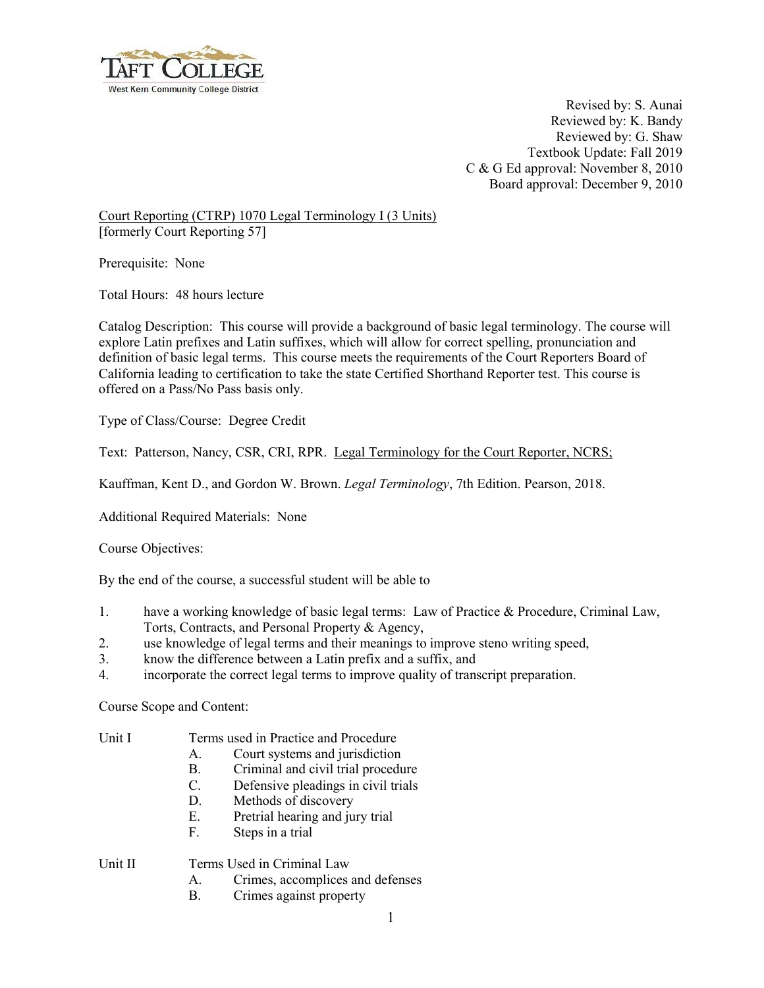

Revised by: S. Aunai Reviewed by: K. Bandy Reviewed by: G. Shaw Textbook Update: Fall 2019 C & G Ed approval: November 8, 2010 Board approval: December 9, 2010

Court Reporting (CTRP) 1070 Legal Terminology I (3 Units) [formerly Court Reporting 57]

Prerequisite: None

Total Hours: 48 hours lecture

Catalog Description: This course will provide a background of basic legal terminology. The course will explore Latin prefixes and Latin suffixes, which will allow for correct spelling, pronunciation and definition of basic legal terms. This course meets the requirements of the Court Reporters Board of California leading to certification to take the state Certified Shorthand Reporter test. This course is offered on a Pass/No Pass basis only.

Type of Class/Course: Degree Credit

Text: Patterson, Nancy, CSR, CRI, RPR. Legal Terminology for the Court Reporter, NCRS;

Kauffman, Kent D., and Gordon W. Brown. *Legal Terminology*, 7th Edition. Pearson, 2018.

Additional Required Materials: None

Course Objectives:

By the end of the course, a successful student will be able to

- 1. have a working knowledge of basic legal terms: Law of Practice & Procedure, Criminal Law, Torts, Contracts, and Personal Property & Agency,
- 2. use knowledge of legal terms and their meanings to improve steno writing speed,
- 3. know the difference between a Latin prefix and a suffix, and
- 4. incorporate the correct legal terms to improve quality of transcript preparation.

Course Scope and Content:

| Unit I |  |  | Terms used in Practice and Procedure |
|--------|--|--|--------------------------------------|
|        |  |  |                                      |

- A. Court systems and jurisdiction
- B. Criminal and civil trial procedure
- C. Defensive pleadings in civil trials
- D. Methods of discovery
- E. Pretrial hearing and jury trial
- F. Steps in a trial

Unit II Terms Used in Criminal Law

- A. Crimes, accomplices and defenses
- B. Crimes against property